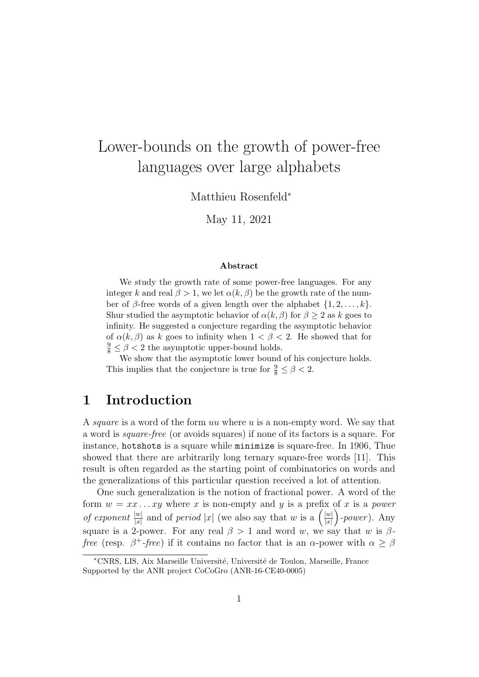# Lower-bounds on the growth of power-free languages over large alphabets

Matthieu Rosenfeld<sup>∗</sup>

May 11, 2021

#### Abstract

We study the growth rate of some power-free languages. For any integer k and real  $\beta > 1$ , we let  $\alpha(k, \beta)$  be the growth rate of the number of β-free words of a given length over the alphabet  $\{1, 2, \ldots, k\}$ . Shur studied the asymptotic behavior of  $\alpha(k, \beta)$  for  $\beta \geq 2$  as k goes to infinity. He suggested a conjecture regarding the asymptotic behavior of  $\alpha(k, \beta)$  as k goes to infinity when  $1 < \beta < 2$ . He showed that for  $\frac{9}{8} \leq \beta < 2$  the asymptotic upper-bound holds.

We show that the asymptotic lower bound of his conjecture holds. This implies that the conjecture is true for  $\frac{9}{8} \le \beta < 2$ .

### 1 Introduction

A *square* is a word of the form uu where u is a non-empty word. We say that a word is square-free (or avoids squares) if none of its factors is a square. For instance, hotshots is a square while minimize is square-free. In 1906, Thue showed that there are arbitrarily long ternary square-free words [11]. This result is often regarded as the starting point of combinatorics on words and the generalizations of this particular question received a lot of attention.

One such generalization is the notion of fractional power. A word of the form  $w = xx \dots xy$  where x is non-empty and y is a prefix of x is a power of exponent  $\frac{|w|}{|x|}$  and of period |x| (we also say that w is a  $\left(\frac{|w|}{|x|}\right)$  $\frac{|w|}{|x|}$  )-power). Any square is a 2-power. For any real  $\beta > 1$  and word w, we say that w is  $\beta$ *free* (resp.  $\beta^+$ -*free*) if it contains no factor that is an  $\alpha$ -power with  $\alpha \geq \beta$ 

<sup>∗</sup>CNRS, LIS, Aix Marseille Universit´e, Universit´e de Toulon, Marseille, France Supported by the ANR project CoCoGro (ANR-16-CE40-0005)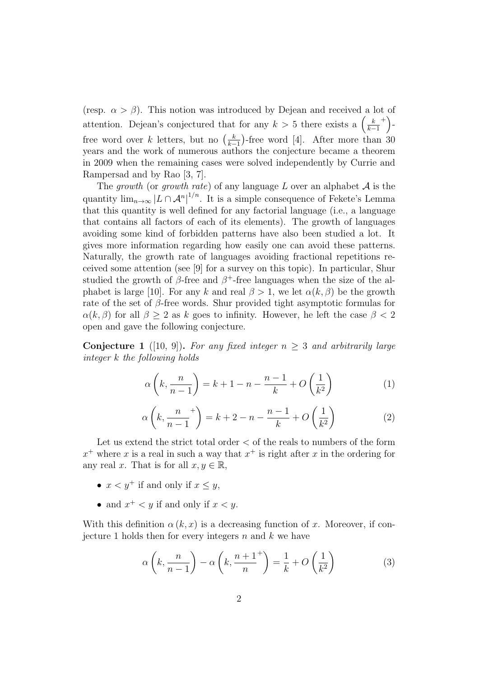(resp.  $\alpha > \beta$ ). This notion was introduced by Dejean and received a lot of attention. Dejean's conjectured that for any  $k > 5$  there exists a  $\left(\frac{k}{k}\right)$  $k-1$  $^{+}\bigg)$  free word over k letters, but no  $\left(\frac{k}{k}\right)$  $\frac{k}{k-1}$ )-free word [4]. After more than 30 years and the work of numerous authors the conjecture became a theorem in 2009 when the remaining cases were solved independently by Currie and Rampersad and by Rao [3, 7].

The growth (or growth rate) of any language  $L$  over an alphabet  $A$  is the quantity  $\lim_{n\to\infty} |L \cap \mathcal{A}^n|^{1/n}$ . It is a simple consequence of Fekete's Lemma that this quantity is well defined for any factorial language (i.e., a language that contains all factors of each of its elements). The growth of languages avoiding some kind of forbidden patterns have also been studied a lot. It gives more information regarding how easily one can avoid these patterns. Naturally, the growth rate of languages avoiding fractional repetitions received some attention (see [9] for a survey on this topic). In particular, Shur studied the growth of  $\beta$ -free and  $\beta^+$ -free languages when the size of the alphabet is large [10]. For any k and real  $\beta > 1$ , we let  $\alpha(k, \beta)$  be the growth rate of the set of  $\beta$ -free words. Shur provided tight asymptotic formulas for  $\alpha(k,\beta)$  for all  $\beta \geq 2$  as k goes to infinity. However, he left the case  $\beta < 2$ open and gave the following conjecture.

Conjecture 1 ([10, 9]). For any fixed integer  $n \geq 3$  and arbitrarily large integer k the following holds

$$
\alpha \left( k, \frac{n}{n-1} \right) = k+1 - n - \frac{n-1}{k} + O\left(\frac{1}{k^2}\right) \tag{1}
$$

$$
\alpha\left(k, \frac{n}{n-1}^+\right) = k+2-n-\frac{n-1}{k}+O\left(\frac{1}{k^2}\right) \tag{2}
$$

Let us extend the strict total order  $\lt$  of the reals to numbers of the form  $x^+$  where x is a real in such a way that  $x^+$  is right after x in the ordering for any real x. That is for all  $x, y \in \mathbb{R}$ ,

- $x < y^+$  if and only if  $x < y$ ,
- and  $x^+ < y$  if and only if  $x < y$ .

With this definition  $\alpha(k, x)$  is a decreasing function of x. Moreover, if conjecture 1 holds then for every integers  $n$  and  $k$  we have

$$
\alpha\left(k, \frac{n}{n-1}\right) - \alpha\left(k, \frac{n+1}{n}\right) = \frac{1}{k} + O\left(\frac{1}{k^2}\right) \tag{3}
$$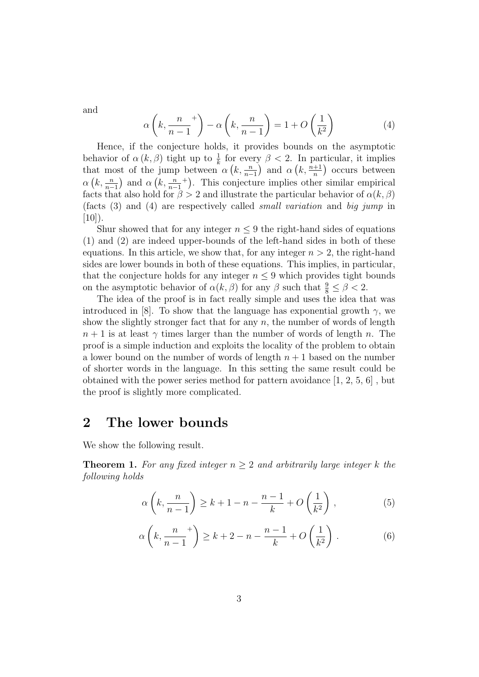and

$$
\alpha \left( k, \frac{n}{n-1}^+ \right) - \alpha \left( k, \frac{n}{n-1} \right) = 1 + O\left(\frac{1}{k^2}\right) \tag{4}
$$

Hence, if the conjecture holds, it provides bounds on the asymptotic behavior of  $\alpha(k,\beta)$  tight up to  $\frac{1}{k}$  for every  $\beta < 2$ . In particular, it implies that most of the jump between  $\alpha(k, \frac{n}{n-1})$  and  $\alpha(k, \frac{n+1}{n})$  occurs between  $\alpha\left(k,\frac{n}{n-1}\right)$  and  $\alpha\left(k,\frac{n}{n-1}\right)$ + . This conjecture implies other similar empirical facts that also hold for  $\beta > 2$  and illustrate the particular behavior of  $\alpha(k, \beta)$ (facts (3) and (4) are respectively called small variation and big jump in  $[10]$ ).

Shur showed that for any integer  $n \leq 9$  the right-hand sides of equations (1) and (2) are indeed upper-bounds of the left-hand sides in both of these equations. In this article, we show that, for any integer  $n > 2$ , the right-hand sides are lower bounds in both of these equations. This implies, in particular, that the conjecture holds for any integer  $n \leq 9$  which provides tight bounds on the asymptotic behavior of  $\alpha(k,\beta)$  for any  $\beta$  such that  $\frac{9}{8} \leq \beta < 2$ .

The idea of the proof is in fact really simple and uses the idea that was introduced in [8]. To show that the language has exponential growth  $\gamma$ , we show the slightly stronger fact that for any  $n$ , the number of words of length  $n+1$  is at least  $\gamma$  times larger than the number of words of length n. The proof is a simple induction and exploits the locality of the problem to obtain a lower bound on the number of words of length  $n + 1$  based on the number of shorter words in the language. In this setting the same result could be obtained with the power series method for pattern avoidance [1, 2, 5, 6] , but the proof is slightly more complicated.

### 2 The lower bounds

We show the following result.

**Theorem 1.** For any fixed integer  $n \geq 2$  and arbitrarily large integer k the following holds

$$
\alpha\left(k, \frac{n}{n-1}\right) \ge k+1-n-\frac{n-1}{k} + O\left(\frac{1}{k^2}\right),\tag{5}
$$

$$
\alpha\left(k, \frac{n}{n-1}^+\right) \ge k+2-n-\frac{n-1}{k}+O\left(\frac{1}{k^2}\right). \tag{6}
$$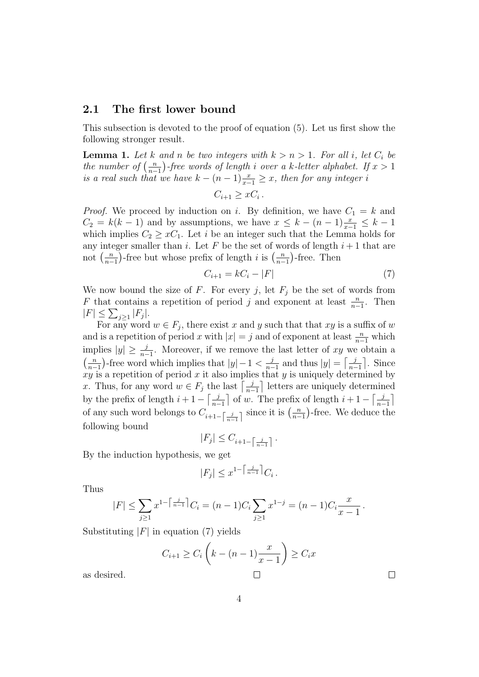### 2.1 The first lower bound

This subsection is devoted to the proof of equation (5). Let us first show the following stronger result.

**Lemma 1.** Let k and n be two integers with  $k > n > 1$ . For all i, let  $C_i$  be the number of  $\left(\frac{n}{n}\right)$  $\frac{n}{n-1}$ )-free words of length i over a k-letter alphabet. If  $x > 1$ is a real such that we have  $k - (n-1)\frac{x}{x-1} \geq x$ , then for any integer i

$$
C_{i+1} \geq xC_i.
$$

*Proof.* We proceed by induction on i. By definition, we have  $C_1 = k$  and  $C_2 = k(k-1)$  and by assumptions, we have  $x \leq k - (n-1)\frac{x}{x-1} \leq k-1$ which implies  $C_2 \geq xC_1$ . Let i be an integer such that the Lemma holds for any integer smaller than i. Let F be the set of words of length  $i+1$  that are not  $\left(\frac{n}{n}\right)$  $\frac{n}{n-1}$ )-free but whose prefix of length *i* is  $\left(\frac{n}{n-1}\right)$  $\frac{n}{n-1}$ )-free. Then

$$
C_{i+1} = kC_i - |F| \tag{7}
$$

We now bound the size of F. For every j, let  $F_i$  be the set of words from F that contains a repetition of period j and exponent at least  $\frac{n}{n-1}$ . Then  $|F| \leq \sum_{j\geq 1} |F_j|.$ 

For any word  $w \in F_j$ , there exist x and y such that that xy is a suffix of w and is a repetition of period x with  $|x| = j$  and of exponent at least  $\frac{n}{n-1}$  which implies  $|y| \geq \frac{j}{n-1}$ . Moreover, if we remove the last letter of xy we obtain a  $\left(\frac{n}{n}\right)$  $\frac{n}{n-1}$ )-free word which implies that  $|y|-1 < \frac{j}{n-1}$  $\frac{j}{n-1}$  and thus  $|y| = \left\lceil \frac{j}{n-1} \right\rceil$  $\frac{j}{n-1}$ . Since  $xy$  is a repetition of period x it also implies that y is uniquely determined by x. Thus, for any word  $w \in F_j$  the last  $\left\lceil \frac{j}{n} \right\rceil$  $\frac{j}{n-1}$  letters are uniquely determined by the prefix of length  $i+1-\lceil \frac{j}{n-j} \rceil$  $\frac{j}{n-1}$  of w. The prefix of length  $i+1-\lceil \frac{j}{n-1} \rceil$  $\frac{j}{n-1}$ of any such word belongs to  $C_{i+1-\left\lceil \frac{j}{n-1}\right\rceil}$  since it is  $\left(\frac{n}{n-1}\right)$  $\frac{n}{n-1}$ )-free. We deduce the following bound

$$
|F_j| \leq C_{i+1-\left\lceil\frac{j}{n-1}\right\rceil} \, .
$$

By the induction hypothesis, we get

$$
|F_j| \leq x^{1-\left\lceil \frac{j}{n-1} \right\rceil} C_i.
$$

Thus

$$
|F| \le \sum_{j\ge 1} x^{1-\left\lceil \frac{j}{n-1} \right\rceil} C_i = (n-1)C_i \sum_{j\ge 1} x^{1-j} = (n-1)C_i \frac{x}{x-1}.
$$

Substituting  $|F|$  in equation (7) yields

$$
C_{i+1} \ge C_i \left( k - (n-1)\frac{x}{x-1} \right) \ge C_i x
$$

as desired.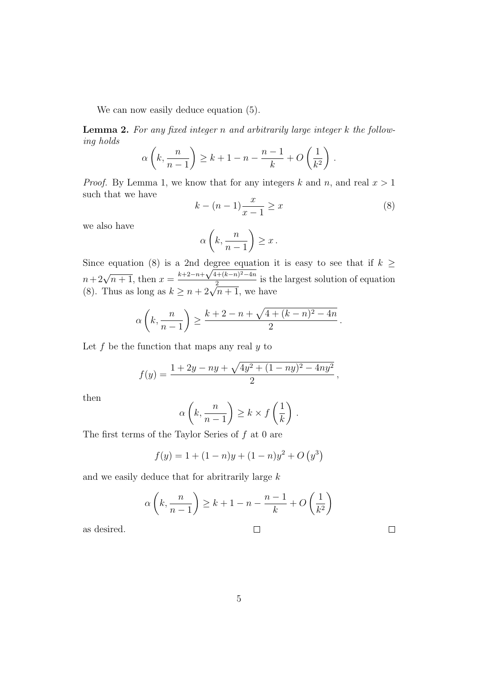We can now easily deduce equation  $(5)$ .

**Lemma 2.** For any fixed integer n and arbitrarily large integer  $k$  the following holds

$$
\alpha\left(k, \frac{n}{n-1}\right) \ge k+1-n-\frac{n-1}{k}+O\left(\frac{1}{k^2}\right).
$$

*Proof.* By Lemma 1, we know that for any integers k and n, and real  $x > 1$ such that we have

$$
k - (n - 1)\frac{x}{x - 1} \ge x \tag{8}
$$

we also have

$$
\alpha\left(k, \frac{n}{n-1}\right) \ge x \, .
$$

Since equation (8) is a 2nd degree equation it is easy to see that if  $k \geq$ since equation (8) is a znd degree equation<br>  $n+2\sqrt{n+1}$ , then  $x = \frac{k+2-n+\sqrt{4+(k-n)^2-4n}}{2}$  $n+2\sqrt{n+1}$ , then  $x=\frac{n+2-n+\sqrt{4+(n-n)-4n}}{2}$  is the largest solution of equation (8). Thus as long as  $k \ge n+2\sqrt{n+1}$ , we have

$$
\alpha\left(k,\frac{n}{n-1}\right) \ge \frac{k+2-n+\sqrt{4+(k-n)^2-4n}}{2}.
$$

Let  $f$  be the function that maps any real  $y$  to

$$
f(y) = \frac{1 + 2y - ny + \sqrt{4y^2 + (1 - ny)^2 - 4ny^2}}{2},
$$

then

$$
\alpha\left(k, \frac{n}{n-1}\right) \ge k \times f\left(\frac{1}{k}\right).
$$

The first terms of the Taylor Series of  $f$  at 0 are

$$
f(y) = 1 + (1 - n)y + (1 - n)y^{2} + O(y^{3})
$$

and we easily deduce that for a<br>britrarily large  $k$ 

$$
\alpha \left( k, \frac{n}{n-1} \right) \ge k + 1 - n - \frac{n-1}{k} + O\left( \frac{1}{k^2} \right)
$$

as desired.

$$
f_{\rm{max}}
$$

 $\Box$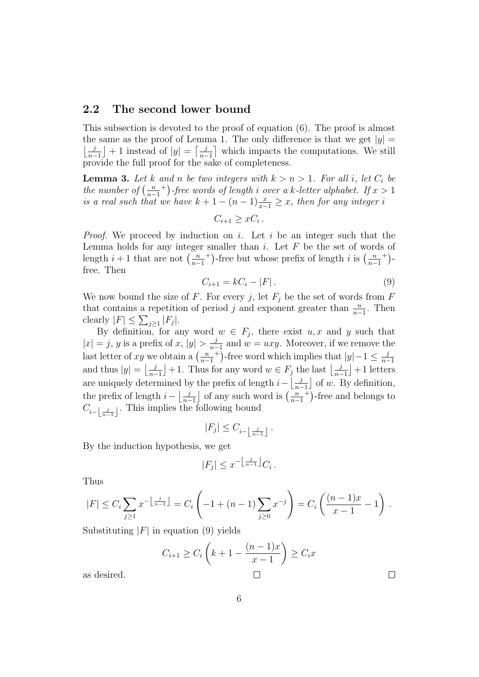#### 2.2 The second lower bound

This subsection is devoted to the proof of equation (6). The proof is almost the same as the proof of Lemma 1. The only difference is that we get  $|y| =$  $\frac{j}{n}$  $\frac{j}{n-1}$  + 1 instead of  $|y| = \left\lceil \frac{j}{n-1} \right\rceil$  $\frac{j}{n-1}$  which impacts the computations. We still provide the full proof for the sake of completeness.

**Lemma 3.** Let k and n be two integers with  $k > n > 1$ . For all i, let  $C_i$  be the number of  $\left(\frac{n}{n}\right)$  $n-1$ <sup>+</sup>)-free words of length i over a k-letter alphabet. If  $x > 1$ is a real such that we have  $k + 1 - (n - 1)\frac{x}{x-1} \geq x$ , then for any integer i

$$
C_{i+1} \geq xC_i.
$$

*Proof.* We proceed by induction on i. Let i be an integer such that the Lemma holds for any integer smaller than  $i$ . Let  $F$  be the set of words of length  $i+1$  that are not  $\left(\frac{n}{n-1}\right)$  $n-1$ <sup>+</sup>)-free but whose prefix of length i is  $\left(\frac{n}{n}\right)$  $n-1$  $+)$  free. Then

$$
C_{i+1} = kC_i - |F|.
$$
 (9)

We now bound the size of F. For every j, let  $F_j$  be the set of words from F that contains a repetition of period j and exponent greater than  $\frac{n}{n-1}$ . Then clearly  $|F| \leq \sum_{j\geq 1} |F_j|$ .

By definition, for any word  $w \in F_j$ , there exist  $u, x$  and y such that  $|x| = j, y$  is a prefix of x,  $|y| > \frac{j}{n-1}$  $\frac{j}{n-1}$  and  $w = uxy$ . Moreover, if we remove the last letter of xy we obtain a  $\left(\frac{n}{n}\right)$  $n-1$ <sup>+</sup>)-free word which implies that  $|y|-1 \leq \frac{j}{n-1}$  $n-1$ and thus  $|y| = \frac{j}{n-1}$  $\frac{j}{n-1}$  + 1. Thus for any word  $w \in F_j$  the last  $\left\lfloor \frac{j}{n-1} \right\rfloor$  $\frac{j}{n-1}$  +1 letters are uniquely determined by the prefix of length  $i - \frac{j}{n-1}$  $\frac{j}{n-1}$  of w. By definition, the prefix of length  $i - \left| \frac{j}{n} \right|$  $\frac{j}{n-1}$  of any such word is  $\left(\frac{n}{n-1}\right)$  $n-1$ <sup>+</sup>)-free and belongs to  $C_{i-\left\lfloor \frac{j}{n-1} \right\rfloor}$ . This implies the following bound

$$
|F_j|\leq C_{i-\left\lfloor \frac{j}{n-1}\right\rfloor }\,.
$$

By the induction hypothesis, we get

$$
|F_j| \leq x^{-\left\lfloor \frac{j}{n-1} \right\rfloor} C_i.
$$

Thus

$$
|F| \le C_i \sum_{j\ge 1} x^{-\left\lfloor \frac{j}{n-1} \right\rfloor} = C_i \left( -1 + (n-1) \sum_{j\ge 0} x^{-j} \right) = C_i \left( \frac{(n-1)x}{x-1} - 1 \right).
$$

Substituting  $|F|$  in equation (9) yields

$$
C_{i+1} \ge C_i \left( k + 1 - \frac{(n-1)x}{x-1} \right) \ge C_i x
$$

as desired.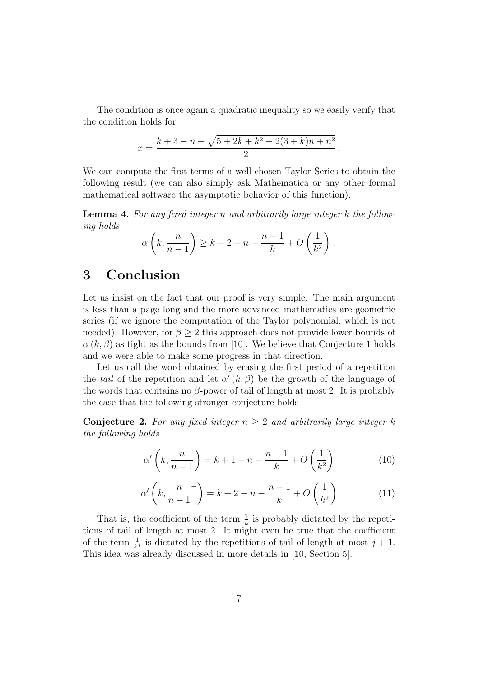The condition is once again a quadratic inequality so we easily verify that the condition holds for

$$
x = \frac{k+3-n+\sqrt{5+2k+k^2-2(3+k)n+n^2}}{2}.
$$

We can compute the first terms of a well chosen Taylor Series to obtain the following result (we can also simply ask Mathematica or any other formal mathematical software the asymptotic behavior of this function).

**Lemma 4.** For any fixed integer n and arbitrarily large integer  $k$  the following holds

$$
\alpha\left(k, \frac{n}{n-1}\right) \ge k+2-n-\frac{n-1}{k}+O\left(\frac{1}{k^2}\right).
$$

## 3 Conclusion

Let us insist on the fact that our proof is very simple. The main argument is less than a page long and the more advanced mathematics are geometric series (if we ignore the computation of the Taylor polynomial, which is not needed). However, for  $\beta \geq 2$  this approach does not provide lower bounds of  $\alpha(k,\beta)$  as tight as the bounds from [10]. We believe that Conjecture 1 holds and we were able to make some progress in that direction.

Let us call the word obtained by erasing the first period of a repetition the tail of the repetition and let  $\alpha'(k, \beta)$  be the growth of the language of the words that contains no  $\beta$ -power of tail of length at most 2. It is probably the case that the following stronger conjecture holds

**Conjecture 2.** For any fixed integer  $n \geq 2$  and arbitrarily large integer k the following holds

$$
\alpha'\left(k, \frac{n}{n-1}\right) = k+1-n - \frac{n-1}{k} + O\left(\frac{1}{k^2}\right) \tag{10}
$$

$$
\alpha' \left( k, \frac{n}{n-1}^+ \right) = k + 2 - n - \frac{n-1}{k} + O\left(\frac{1}{k^2}\right) \tag{11}
$$

That is, the coefficient of the term  $\frac{1}{k}$  is probably dictated by the repetitions of tail of length at most 2. It might even be true that the coefficient of the term  $\frac{1}{k^j}$  is dictated by the repetitions of tail of length at most  $j + 1$ . This idea was already discussed in more details in [10, Section 5].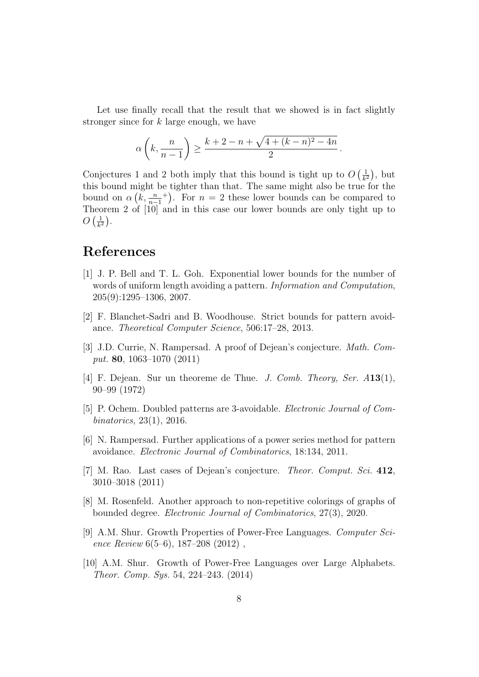Let use finally recall that the result that we showed is in fact slightly stronger since for k large enough, we have

$$
\alpha\left(k, \frac{n}{n-1}\right) \ge \frac{k+2-n+\sqrt{4+(k-n)^2-4n}}{2}.
$$

Conjectures 1 and 2 both imply that this bound is tight up to  $O\left(\frac{1}{k}\right)$  $\frac{1}{k^2}$ , but this bound might be tighter than that. The same might also be true for the bound on  $\alpha\left(k,\frac{n}{n-1}\right)$ <sup>+</sup>). For  $n = 2$  these lower bounds can be compared to Theorem 2 of [10] and in this case our lower bounds are only tight up to  $O\left(\frac{1}{k^2}\right)$  $\frac{1}{k^2}\Big).$ 

## References

- [1] J. P. Bell and T. L. Goh. Exponential lower bounds for the number of words of uniform length avoiding a pattern. Information and Computation, 205(9):1295–1306, 2007.
- [2] F. Blanchet-Sadri and B. Woodhouse. Strict bounds for pattern avoidance. Theoretical Computer Science, 506:17–28, 2013.
- [3] J.D. Currie, N. Rampersad. A proof of Dejean's conjecture. Math. Comput. 80, 1063–1070 (2011)
- [4] F. Dejean. Sur un theoreme de Thue. J. Comb. Theory, Ser.  $A13(1)$ , 90–99 (1972)
- [5] P. Ochem. Doubled patterns are 3-avoidable. Electronic Journal of Combinatorics, 23(1), 2016.
- [6] N. Rampersad. Further applications of a power series method for pattern avoidance. Electronic Journal of Combinatorics, 18:134, 2011.
- [7] M. Rao. Last cases of Dejean's conjecture. Theor. Comput. Sci. 412, 3010–3018 (2011)
- [8] M. Rosenfeld. Another approach to non-repetitive colorings of graphs of bounded degree. Electronic Journal of Combinatorics, 27(3), 2020.
- [9] A.M. Shur. Growth Properties of Power-Free Languages. Computer Science Review 6(5–6), 187–208 (2012) ,
- [10] A.M. Shur. Growth of Power-Free Languages over Large Alphabets. Theor. Comp. Sys. 54, 224–243. (2014)